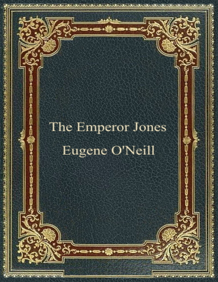# The Emperor Jones Eugene O'Neill

เป็นเครื่องครับเครื่องเรื่องเรื่องเรื่องเรื่องเรื่องเรื่องเรื่องเรื่องเรื่องเรื่องเรื่

مراقب ومراقبه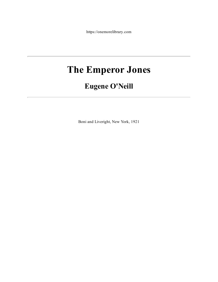https://onemorelibrary.com

# **The Emperor Jones**

### **Eugene O'Neill**

Boni and Liveright, New York, 1921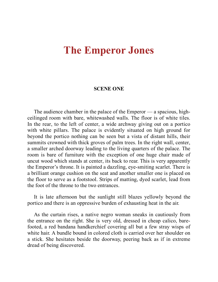## **The Emperor Jones**

#### **SCENE ONE**

The audience chamber in the palace of the Emperor — a spacious, highceilinged room with bare, whitewashed walls. The floor is of white tiles. In the rear, to the left of center, a wide archway giving out on a portico with white pillars. The palace is evidently situated on high ground for beyond the portico nothing can be seen but a vista of distant hills, their summits crowned with thick groves of palm trees. In the right wall, center, a smaller arched doorway leading to the living quarters of the palace. The room is bare of furniture with the exception of one huge chair made of uncut wood which stands at center, its back to rear. This is very apparently the Emperor's throne. It is painted a dazzling, eye-smiting scarlet. There is a brilliant orange cushion on the seat and another smaller one is placed on the floor to serve as a footstool. Strips of matting, dyed scarlet, lead from the foot of the throne to the two entrances.

It is late afternoon but the sunlight still blazes yellowly beyond the portico and there is an oppressive burden of exhausting heat in the air.

As the curtain rises, a native negro woman sneaks in cautiously from the entrance on the right. She is very old, dressed in cheap calico, barefooted, a red bandana handkerchief covering all but a few stray wisps of white hair. A bundle bound in colored cloth is carried over her shoulder on a stick. She hesitates beside the doorway, peering back as if in extreme dread of being discovered.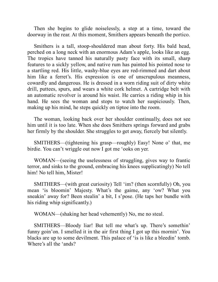Then she begins to glide noiselessly, a step at a time, toward the doorway in the rear. At this moment, Smithers appears beneath the portico.

Smithers is a tall, stoop-shouldered man about forty. His bald head, perched on a long neck with an enormous Adam's apple, looks like an egg. The tropics have tanned his naturally pasty face with its small, sharp features to a sickly yellow, and native rum has painted his pointed nose to a startling red. His little, washy-blue eyes are red-rimmed and dart about him like a ferret's. His expression is one of unscrupulous meanness, cowardly and dangerous. He is dressed in a worn riding suit of dirty white drill, puttees, spurs, and wears a white cork helmet. A cartridge belt with an automatic revolver is around his waist. He carries a riding whip in his hand. He sees the woman and stops to watch her suspiciously. Then, making up his mind, he steps quickly on tiptoe into the room.

The woman, looking back over her shoulder continually, does not see him until it is too late. When she does Smithers springs forward and grabs her firmly by the shoulder. She struggles to get away, fiercely but silently.

SMITHERS—(tightening his grasp—roughly) Easy! None o' that, me birdie. You can't wriggle out now I got me 'ooks on yer.

WOMAN—(seeing the uselessness of struggling, gives way to frantic terror, and sinks to the ground, embracing his knees supplicatingly) No tell him! No tell him, Mister!

SMITHERS—(with great curiosity) Tell 'im? (then scornfully) Oh, you mean 'is bloomin' Majesty. What's the gaime, any 'ow? What you sneakin' away for? Been stealin' a bit, I s'pose. (He taps her bundle with his riding whip significantly.)

WOMAN—(shaking her head vehemently) No, me no steal.

SMITHERS—Bloody liar! But tell me what's up. There's somethin' funny goin'on. I smelled it in the air first thing I got up this mornin'. You blacks are up to some devilment. This palace of 'is is like a bleedin' tomb. Where's all the 'ands?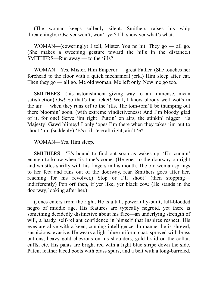(The woman keeps sullenly silent. Smithers raises his whip threateningly.) Ow, yer won't, won't yer? I'll show yer what's what.

WOMAN—(coweringly) I tell, Mister. You no hit. They go — all go. (She makes a sweeping gesture toward the hills in the distance.) SMITHERS—Run away — to the 'ills?

WOMAN—Yes, Mister. Him Emperor — great Father. (She touches her forehead to the floor with a quick mechanical jerk.) Him sleep after eat. Then they go — all go. Me old woman. Me left only. Now me go too.

SMITHERS—(his astonishment giving way to an immense, mean satisfaction) Ow! So that's the ticket! Well, I know bloody well wot's in the air — when they runs orf to the 'ills. The tom-tom'll be thumping out there bloomin' soon. (with extreme vindictiveness) And I'm bloody glad of it, for one! Serve 'im right! Puttin' on airs, the stinkin' nigger! 'Is Majesty! Gawd blimey! I only 'opes I'm there when they takes 'im out to shoot 'im. (suddenly) 'E's still 'ere all right, ain't 'e?

WOMAN—Yes. Him sleep.

SMITHERS—'E's bound to find out soon as wakes up. 'E's cunnin' enough to know when 'is time's come. (He goes to the doorway on right and whistles shrilly with his fingers in his mouth. The old woman springs to her feet and runs out of the doorway, rear. Smithers goes after her, reaching for his revolver.) Stop or I'll shoot! (then stopping indifferently) Pop orf then, if yer like, yer black cow. (He stands in the doorway, looking after her.)

(Jones enters from the right. He is a tall, powerfully-built, full-blooded negro of middle age. His features are typically negroid, yet there is something decidedly distinctive about his face—an underlying strength of will, a hardy, self-reliant confidence in himself that inspires respect. His eyes are alive with a keen, cunning intelligence. In manner he is shrewd, suspicious, evasive. He wears a light blue uniform coat, sprayed with brass buttons, heavy gold chevrons on his shoulders, gold braid on the collar, cuffs, etc. His pants are bright red with a light blue stripe down the side. Patent leather laced boots with brass spurs, and a belt with a long-barreled,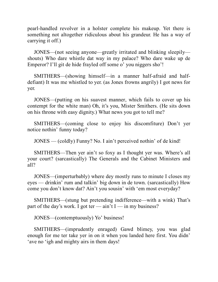pearl-handled revolver in a holster complete his makeup. Yet there is something not altogether ridiculous about his grandeur. He has a way of carrying it off.)

JONES—(not seeing anyone—greatly irritated and blinking sleepily shouts) Who dare whistle dat way in my palace? Who dare wake up de Emperor? I'll git de hide frayled off some o' you niggers sho'!

SMITHERS—(showing himself—in a manner half-afraid and halfdefiant) It was me whistled to yer. (as Jones frowns angrily) I got news for yer.

JONES—(putting on his suavest manner, which fails to cover up his contempt for the white man) Oh, it's you, Mister Smithers. (He sits down on his throne with easy dignity.) What news you got to tell me?

SMITHERS—(coming close to enjoy his discomfiture) Don't yer notice nothin' funny today?

JONES — (coldly) Funny? No. I ain't perceived nothin' of de kind!

SMITHERS—Then yer ain't so foxy as I thought yer was. Where's all your court? (sarcastically) The Generals and the Cabinet Ministers and all?

JONES—(imperturbably) where dey mostly runs to minute I closes my eyes — drinkin' rum and talkin' big down in de town. (sarcastically) How come you don't know dat? Ain't you sousin' with 'em most everyday?

SMITHERS—(stung but pretending indifference—with a wink) That's part of the day's work. I got ter — ain't I — in my business?

JONES—(contemptuously) Yo' business!

SMITHERS—(imprudently enraged) Gawd blimey, you was glad enough for me ter take yer in on it when you landed here first. You didn' 'ave no 'igh and mighty airs in them days!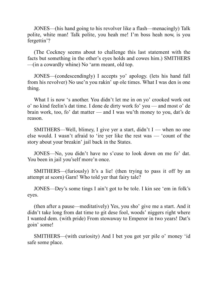JONES—(his hand going to his revolver like a flash—menacingly) Talk polite, white man! Talk polite, you heah me! I'm boss heah now, is you fergettin'?

(The Cockney seems about to challenge this last statement with the facts but something in the other's eyes holds and cowes him.) SMITHERS —(in a cowardly whine) No 'arm meant, old top.

JONES—(condescendingly) I accepts yo' apology. (lets his hand fall from his revolver) No use'n you rakin' up ole times. What I was den is one thing.

What I is now 's another. You didn't let me in on yo' crooked work out o' no kind feelin's dat time. I done de dirty work fo' you — and most o' de brain work, too, fo' dat matter — and I was wu'th money to you, dat's de reason.

SMITHERS—Well, blimey, I give yer a start, didn't I — when no one else would. I wasn't afraid to 'ire yer like the rest was — 'count of the story about your breakin' jail back in the States.

JONES—No, you didn't have no s'cuse to look down on me fo' dat. You been in jail you'self more'n once.

SMITHERS—(furiously) It's a lie! (then trying to pass it off by an attempt at scorn) Garn! Who told yer that fairy tale?

JONES—Dey's some tings I ain't got to be tole. I kin see 'em in folk's eyes.

(then after a pause—meditatively) Yes, you sho' give me a start. And it didn't take long from dat time to git dese fool, woods' niggers right where I wanted dem. (with pride) From stowaway to Emperor in two years! Dat's goin' some!

SMITHERS—(with curiosity) And I bet you got yer pile o' money 'id safe some place.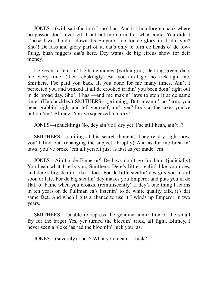JONES—(with satisfaction) I sho' has! And it's in a foreign bank where no pusson don't ever git it out but me no matter what come. You didn't s'pose I was holdin' down dis Emperor job for de glory in it, did you? Sho'! De fuss and glory part of it, dat's only to turn de heads o' de lowflung, bush niggers dat's here. Dey wants de big circus show for deir money.

I gives it to 'em an' I gits de money. (with a grin) De long green, dat's me every time! (then rebukingly) But you ain't got no kick agin me, Smithers. I'se paid you back all you done for me many times. Ain't I pertected you and winked at all de crooked tradin' you been doin' right out in de broad day. Sho'. I has —and me makin' laws to stop it at de same time! (He chuckles.) SMITHERS—(grinning) But, meanin' no 'arm, you been grabbin' right and left yourself, ain't yer? Look at the taxes you've put on 'em! Blimey! You've squeezed 'em dry!

JONES—(chuckling) No, dey ain't all dry yet. I'se still heah, ain't I?

SMITHERS—(smiling at his secret thought) They're dry right now, you'll find out. (changing the subject abruptly) And as for me breakin' laws, you've broke 'em all yerself just as fast as yer made 'em.

JONES—Ain't r de Emperor? De laws don't go for him. (judicially) You heah what I tells you, Smithers. Dere's little stealin' like you does, and dere's big stealin' like I does. For de little stealin' dey gits you in jail soon or late. For de big stealin' dey makes you Emperor and puts you in de Hall o' Fame when you croaks. (reminiscently) If dey's one thing I learns in ten years on de Pullman ca's listenin' to de white quality talk, it's dat same fact. And when I gits a chance to use it I winds up Emperor in two years.

SMITHERS—(unable to repress the genuine admiration of the small fry for the large) Yes, yer turned the bleedin' trick, all fight. Blimey, I never seen a bloke 'as 'ad the bloomin' luck you 'as.

JONES—(severely) Luck? What you mean — luck?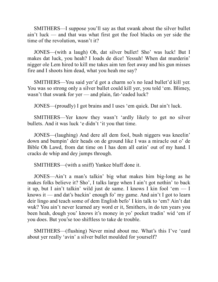SMITHERS—I suppose you'll say as that swank about the silver bullet ain't luck — and that was what first got the fool blacks on yer side the time of the revolution, wasn't it?

JONES—(with a laugh) Oh, dat silver bullet! Sho' was luck! But I makes dat luck, you heah? I loads de dice! Yessuh! When dat murderin' nigger ole Lem hired to kill me takes aim ten feet away and his gun misses fire and I shoots him dead, what you heah me say?

SMITHERS—You said yer'd got a charm so's no lead bullet'd kill yer. You was so strong only a silver bullet could kill yer, you told 'em. Blimey, wasn't that swank for yer — and plain, fat-'eaded luck?

JONES—(proudly) I got brains and I uses 'em quick. Dat ain't luck.

SMITHERS—Yer know they wasn't 'ardly likely to get no silver bullets. And it was luck 'e didn't 'it you that time.

JONES—(laughing) And dere all dem fool, bush niggers was kneelin' down and bumpin' deir heads on de ground like I was a miracle out o' de Bible Oh Lawd, from dat time on I has dem all eatin' out of my hand. I cracks de whip and dey jumps through.

SMITHERS—(with a sniff) Yankee bluff done it.

JONES—Ain't a man's talkin' big what makes him big-long as he makes folks believe it? Sho', I talks large when I ain't got nothin' to back it up, but I ain't talkin' wild just de same. I knows I kin fool 'em — I knows it — and dat's backin' enough fo' my game. And ain't I got to learn deir lingo and teach some of dem English befo' I kin talk to 'em? Ain't dat wuk? You ain't never learned ary word er it, Smithers, in do ten years you been heah, dough you' knows it's money in yo' pocket tradin' wid 'em if you does. But you'se too shiftless to take de trouble.

SMITHERS—(flushing) Never mind about me. What's this I've 'eard about yer really 'avin' a silver bullet moulded for yourself?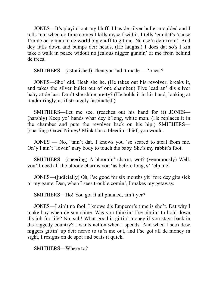JONES—It's playin' out my bluff. I has de silver bullet moulded and I tells 'em when do time comes I kills myself wid it. I tells 'em dat's 'cause I'm de on'y man in de world big enuff to git me. No use'n deir tryin'. And dey falls down and bumps deir heads. (He laughs.) I does dat so's I kin take a walk in peace widout no jealous nigger gunnin' at me from behind de trees.

SMITHERS—(astonished) Then you 'ad it made — 'onest?

JONES—Sho' did. Heah she he. (He takes out his revolver, breaks it, and takes the silver bullet out of one chamber.) Five lead an' dis silver baby at de last. Don't she shine pretty? (He holds it in his hand, looking at it admiringly, as if strangely fascinated.)

SMITHERS—Let me see. (reaches out his hand for it) JONES— (harshly) Keep yo' hands whar dey b'long, white man. (He replaces it in the chamber and puts the revolver back on his hip.) SMITHERS— (snarling) Gawd Nimey! Mink I'm a bleedin' thief, you would.

JONES — No, 'tain't dat. I knows you 'se scared to steal from me. On'y I ain't 'lowin' nary body to touch dis baby. She's my rabbit's foot.

SMITHERS—(sneering) A bloomin' charm, wot? (venomously) Well, you'll need all the bloody charms you 'as before long, s' 'elp me!

JONES—(judicially) Oh, I'se good for six months yit 'fore dey gits sick o' my game. Den, when I sees trouble comin', I makes my getaway.

SMITHERS—Ho! You got it all planned, ain't yer?

JONES—I ain't no fool. I knows dis Emperor's time is sho't. Dat why I make hay when de sun shine. Was you thinkin' I'se aimin' to hold down dis job for life? No, suh! What good is gittin' money if you stays back in dis raggedy country? I wants action when I spends. And when I sees dese niggers gittin' up deir nerve to tu'n me out, and I'se got all de money in sight, I resigns on de spot and beats it quick.

SMITHERS—Where to?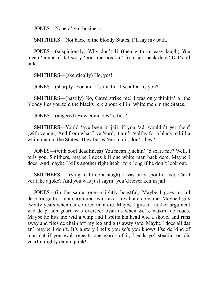JONES—None o' yo' business.

SMITHERS—Not back to the bloody States, I'll lay my oath.

JONES—(suspiciously) Why don't I? (then with an easy laugh) You mean 'count of dat story 'bout me breakin' from jail back dere? Dat's all talk.

SMITHERS—(skeptically) Ho, yes!

JONES—(sharply) You ain't 'sinuatin' I'se a liar, is you?

SMITHERS—(hastily) No, Gawd strike me! I was only thinkin' o' the bloody lies you told the blacks 'ere about killin' white men in the States.

JONES—(angered) How come dey're lies?

SMITHERS—You'd 'ave been in jail, if you 'ad, wouldn't yer then? (with venom) And from what I've 'eard, it ain't 'ealthy for a black to kill a white man in the States. They burns 'em in oil, don't they?

JONES—(with cool deadliness) You mean lynchin' 'd scare me? Well, I tells you, Smithers, maybe I does kill one white man back dere, Maybe I does. And maybe I kills another right heah 'fore long if he don't look out.

SMITHERS—(trying to force a laugh) I was on'y spoofin' yer. Can't yer take a joke? And you was just sayin' you'd never ken in jail.

JONES—(in the same tone—slightly boastful) Maybe I goes to jail dere for gettin' in an argument wid razors ovah a crap game. Maybe I gits twenty years when dat colored man die. Maybe I gits in 'nother argument wid de prison guard was overseer ovah us when we're wukin' de roads. Maybe he hits me wid a whip and I splits his head wid a shovel and runs away and files de chain off my leg and gits away safe. Maybe I does all dat an' maybe I don't. It's a story I tells you so's you knows I'se de kind of man dat if you evah repeats one words of it, I ends yo' stealin' on dis yearth mighty damn quick!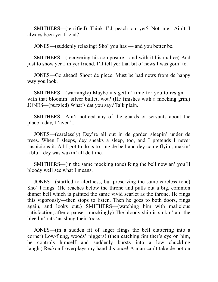SMITHERS—(terrified) Think I'd peach on yer? Not me! Ain't I always been yer friend?

JONES—(suddenly relaxing) Sho' you has — and you better be.

SMITHERS—(recovering his composure—and with it his malice) And just to show yer I'm yer friend, I'll tell yer that bit o' news I was goin' to.

JONES—Go ahead! Shoot de piece. Must be bad news from de happy way you look.

SMITHERS—(warningly) Maybe it's gettin' time for you to resign with that bloomin' silver bullet, wot? (He finishes with a mocking grin.) JONES—(puzzled) What's dat you say? Talk plain.

SMITHERS—Ain't noticed any of the guards or servants about the place today, I 'aven't.

JONES—(carelessly) Dey're all out in de garden sleepin' under de trees. When I sleeps, dey sneaks a sleep, too, and I pretends I never suspicions it. All I got to do is to ring de bell and dey come flyin', makin' a bluff dey was wukin' all de time.

SMITHERS—(in the same mocking tone) Ring the bell now an' you'll bloody well see what I means.

JONES—(startled to alertness, but preserving the same careless tone) Sho' I rings. (He reaches below the throne and pulls out a big, common dinner bell which is painted the same vivid scarlet as the throne. He rings this vigorously—then stops to listen. Then he goes to both doors, rings again, and looks out.) SMITHERS—(watching him with malicious satisfaction, after a pause—mockingly) The bloody ship is sinkin' an' the bleedin' rats 'as slung their 'ooks.

JONES—(in a sudden fit of anger flings the bell clattering into a corner) Low-flung, woods' niggers! (then catching Smither's eye on him, he controls himself and suddenly bursts into a low chuckling laugh.) Reckon I overplays my hand dis once! A man can't take de pot on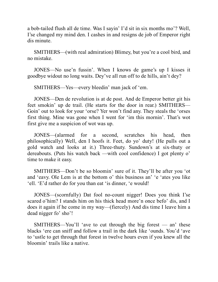a bob-tailed flush all de time. Was I sayin' I'd sit in six months mo'? Well, I'se changed my mind den. I cashes in and resigns de job of Emperor right dis minute.

SMITHERS—(with real admiration) Blimey, but you're a cool bird, and no mistake.

JONES—No use'n fussin'. When I knows de game's up I kisses it goodbye widout no long waits. Dey've all run off to de hills, ain't dey?

SMITHERS—Yes—every bleedin' man jack of 'em.

JONES—Den de revolution is at de post. And de Emperor better git his feet smokin' up de trail. (He starts for the door in rear.) SMITHERS— Goin' out to look for your 'orse? Yer won't find any. They steals the 'orses first thing. Mine was gone when I went for 'im this mornin'. That's wot first give me a suspicion of wot was up.

JONES—(alarmed for a second, scratches his head, then philosophically) Well, den I hoofs it. Feet, do yo' duty! (He pulls out a gold watch and looks at it.) Three-thuty. Sundown's at six-thuty or dereabouts. (Puts his watch back —with cool confidence) I got plenty o' time to make it easy.

SMITHERS—Don't be so bloomin' sure of it. They'll be after you 'ot and 'eavy. Ole Lem is at the bottom o' this business an' 'e 'ates you like 'ell. 'E'd rather do for you than eat 'is dinner, 'e would!

JONES—(scornfully) Dat fool no-count nigger! Does you think I'se scared o'him? I stands him on his thick head more'n once befo' dis, and I does it again if he come in my way—(fiercely) And dis time I leave him a dead nigger fo' sho'!

SMITHERS—You'll 'ave to cut through the big forest — an' these blacks 'ere can sniff and follow a trail in the dark like 'ounds. You'd 'ave to 'ustle to get through that forest in twelve hours even if you knew all the bloomin' trails like a native.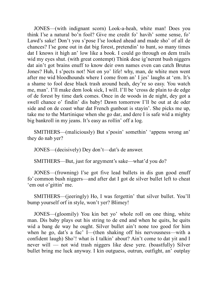JONES—(with indignant scorn) Look-a-heah, white man! Does you think I'se a natural bo'n fool? Give me credit fo' havih' some sense, fo' Lawd's sake! Don't you s'pose I'se looked ahead and made sho' of all de chances? I'se gone out in dat big forest, pretendin' to hunt, so many times dat I knows it high an' low like a book. I could go through on dem trails wid my eyes shut. (with great contempt) Think dese ig'nerent bush niggers dat ain't got brains enuff to know deir own names even can catch Brutus Jones? Huh, I s'pects not! Not on yo' life! why, man, de white men went after me wid bloodhounds where I come from an' I jes' laughs at 'em. It's a shame to fool dese black trash around heah, dey're so easy. You watch me, man'. I'll make dem look sick, I will. I'll be 'cross de plain to de edge of de forest by time dark comes. Once in de woods in de night, dey got a swell chance o' findin' dis baby! Dawn tomorrow I'll be out at de oder side and on de coast whar dat French gunboat is stayin'. She picks me up, take me to the Martinique when she go dar, and dere I is safe wid a mighty big bankroll in my jeans. It's easy as rollin' off a log.

SMITHERS—(maliciously) But s'posin' somethin' 'appens wrong an' they do nab yer?

JONES—(decisively) Dey don't—dat's de answer.

SMITHERS—But, just for argyment's sake—what'd you do?

JONES—(frowning) I'se got five lead bullets in dis gun good enuff fo' common bush niggers—and after dat I got de silver bullet left to cheat 'em out o'gittin' me.

SMITHERS—(jeeringly) Ho, I was fergettin' that silver bullet. You'll bump yourself orf in style, won't yer? Blimey!

JONES—(gloomily) You kin bet yo' whole roll on one thing, white man. Dis baby plays out his string to de end and when he quits, he quits wid a bang de way he ought. Silver bullet ain't none too good for him when he go, dat's a fac' I—(then shaking off his nervousness—with a confident laugh) Sho'! what is I talkin' about? Ain't come to dat yit and I never will — not wid trash niggers like dese yere. (boastfully) Silver bullet bring me luck anyway. I kin outguess, outrun, outfight, an' outplay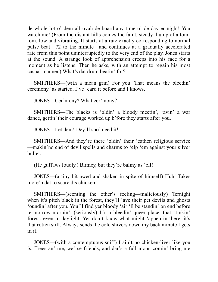de whole lot o' dem all ovah de board any time o' de day er night! You watch me! (From the distant hills comes the faint, steady thump of a tomtom, low and vibrating. It starts at a rate exactly corresponding to normal pulse beat—72 to the minute—and continues at a gradually accelerated rate from this point uninterruptedly to the very end of the play. Jones starts at the sound. A strange look of apprehension creeps into his face for a moment as he listens. Then he asks, with an attempt to regain his most casual manner.) What's dat drum beatin' fo'?

SMITHERS—(with a mean grin) For you. That means the bleedin' ceremony 'as started. I've 'eard it before and I knows.

JONES—Cer'mony? What cer'mony?

SMITHERS—The blacks is 'oldin' a bloody meetin', 'avin' a war dance, gettin' their courage worked up b'fore they starts after you.

JONES—Let dem! Dey'll sho' need it!

SMITHERS—And they're there 'oldin' their 'eathen religious service —makin'no end of devil spells and charms to 'elp 'em against your silver bullet.

(He guffaws loudly.) Blimey, but they're balmy as 'ell!

JONES—(a tiny bit awed and shaken in spite of himself) Huh! Takes more'n dat to scare dis chicken!

SMITHERS—(scenting the other's feeling—maliciously) Ternight when it's pitch black in the forest, they'll 'ave their pet devils and ghosts 'oundin' after you. You'll find yer bloody 'air 'll be standin' on end before termorrow mornin'. (seriously) It's a bleedin' queer place, that stinkin' forest, even in daylight. Yer don't know what might 'appen in there, it's that rotten still. Always sends the cold shivers down my back minute I gets in it.

JONES—(with a contemptuous sniff) I ain't no chicken-liver like you is. Trees an' me, we' se friends, and dar's a full moon comin' bring me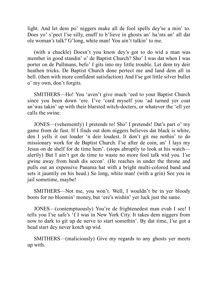light. And let dem po' niggers make all de fool spells dey'se a min' to. Does yo' s'pect I'se silly, enuff to b'lieve in ghosts an' ha'nts an' all dat ole woman's talk? G'long, white man! You ain't talkin' to me.

(with a chuckle) Doesn't you know dey's got to do wid a man was member in good standin' o' de Baptist Church? Sho' I was dat when I was porter on de Pullmans, befo' I gits into my little trouble. Let dem try deir heathen tricks. De Baptist Church done pertect me and land dem all in hell. (then with more confident satisfaction) And I'se got little silver bullet o' my own, don't forgits.

SMITHERS—Ho! You 'aven't give much 'eed to your Baptist Church since you been down 'ere. I've 'card myself you 'ad turned yer coat an'was takin' up with their blarsted witch-docters, or whatever the 'ell yer calls the swine.

JONES—(vehemently) I pretends to! Sho' I pretends! Dat's part o' my game from de fust. If I finds out dem niggers believes dat black is white, den I yells it out louder 'n deir loudest. It don't git me nothin' to do missionary work for de Baptist Church. I'se after de coin, an' I lays my Jesus on de shelf for de time hem'. (stops abruptly to look at his watch alertly) But I ain't got de time to waste no more fool talk wid you. I'se gwine away from heah dis secon'. (He reaches in under the throne and pulls out an expensive Panama hat with a bright multi-colored band and sets it jauntily on his head.) So long, white man! (with a grin) See you in jail sometime, maybe!

SMITHERS—Not me, you won't. Well, I wouldn't be in yer bloody boots for no bloomin' money, but 'ere's wishin' yer luck just the same.

JONES—(contemptuously) You're de frightenedest man evah I see! I tells you I'se safe's 'f I was in New York City. It takes dem niggers from now to dark to git up de nerve to start somethin'. By dat time, I'se got a head start dey never kotch up wid.

SMITHERS—(maliciously) Give my regards to any ghosts yer meets up with.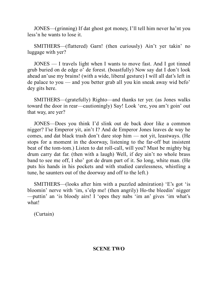JONES—(grinning) If dat ghost got money, I'll tell him never ha'nt you less'n he wants to lose it.

SMITHERS—(flattered) Garn! (then curiously) Ain't yer takin' no luggage with yer?

JONES — I travels light when I wants to move fast. And I got tinned grub buried on de edge o' de forest. (boastfully) Now say dat I don't look ahead an'use my brains! (with a wide, liberal gesture) I will all dat's left in de palace to you — and you better grab all you kin sneak away wid befo' dey gits here.

SMITHERS—(gratefully) Righto—and thanks ter yer. (as Jones walks toward the door in rear—cautioningly) Say! Look 'ere, you am't goin' out that way, are yer?

JONES—Does you think I'd slink out de back door like a common nigger? I'se Emperor yit, ain't I? And de Emperor Jones leaves de way he comes, and dat black trash don't dare stop him — not yit, leastways. (He stops for a moment in the doorway, listening to the far-off but insistent beat of the tom-tom.) Listen to dat roll-call, will you? Must be mighty big drum carry dat far. (then with a laugh) Well, if dey ain't no whole brass band to see me off, I sho' got de drum part of it. So long, white man. (He puts his hands in his pockets and with studied carelessness, whistling a tune, he saunters out of the doorway and off to the left.)

SMITHERS—(looks after him with a puzzled admiration) 'E's got 'is bloomin' nerve with 'im, s'elp me! (then angrily) Ho-the bleedin' nigger —puttin' an 'is bloody airs! I 'opes they nabs 'im an' gives 'im what's what!

(Curtain)

#### **SCENE TWO**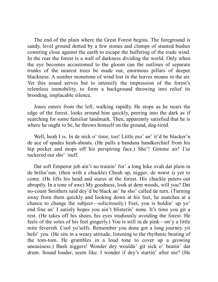The end of the plain where the Great Forest begins. The foreground is sandy, level ground dotted by a few stones and clumps of stunted bushes cowering close against the earth to escape the buffeting of the trade wind. In the rear the forest is a wall of darkness dividing the world. Only when the eye becomes accustomed to the gloom can the outlines of separate trunks of the nearest trees be made out, enormous pillars of deeper blackness. A somber monotone of wind lost in the leaves moans in the air. Yet this sound serves but to intensify the impression of the forest's relentless immobility, to form a background throwing into relief its brooding, implacable silence.

Jones enters from the left, walking rapidly. He stops as he nears the edge of the forest, looks around him quickly, peering into the dark as if searching for some familiar landmark. Then, apparently satisfied that he is where he ought to be, he throws himself on the ground, dog-tired.

Well, heah I is. In de nick o' time, too! Little mo' an' it'd be blacker'n de ace of spades heah-abouts. (He pulls a bandana handkerchief from his hip pocket and mops off his perspiring face.) Sho'! Gimme air! I'se tuckered out sho' 'nuff.

Dat soft Emperor job ain't no trainin' for' a long hike ovah dat plain in de brilin'sun. (then with a chuckle) Cheah up, nigger, de worst is yet to come. (He lifts his head and stares at the forest. His chuckle peters out abruptly. In a tone of awe) My goodness, look at dem woods, will you? Dat no-count Smithers said dey'd be black an' he sho' called de turn. (Turning away from them quickly and looking down at his feet, he snatches at a chance to change the subject—solicitously.) Feet, you is holdin' up yo' end fine an' I sutinly hopes you ain't blisterin' none. It's time you git a rest. (He takes off his shoes, his eyes studiously avoiding the forest. He feels of the soles of his feet gingerly.) You is still in de pink—on'y a little mite feverish. Cool yo'selfs. Remember you done got a long journey yit befo' you. (He sits in a weary attitude, listening to the rhythmic beating of the tom-tom. He grumbles in a loud tone to cover up a growing uneasiness.) Bush niggers! Wonder dey wouldn' git sick o' beatin' dat drum. Sound louder, seem like. I wonder if dey's startin' after me? (He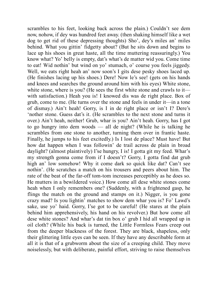scrambles to his feet, looking back across the plain.) Couldn't see dem now, nohow, if dey was hundred feet away. (then shaking himself like a wet dog to get rid of these depressing thoughts) Sho', dey's miles an' miles behind. What you gittin' fidgetty about? (But he sits down and begins to lace up his shoes in great haste, all the time muttering reassuringly.) You know what? Yo' belly is empty, dat's what's de matter wid you. Come time to eat! Wid nothin' but wind on yo' stumach, o' course you feels jiggedy. Well, we eats right heah an' now soon's I gits dese pesky shoes laced up. (He finishes lacing up his shoes.) Dere! Now le's see! (gets on his hands and knees and searches the ground around him with his eyes) White stone, white stone, where is you? (He sees the first white stone and crawls to it with satisfaction.) Heah you is! I knowed dis was de right place. Box of grub, come to me. (He turns over the stone and feels in under it—in a tone of dismay.) Ain't heah! Gorry, is I in de right place or isn't I? Dere's 'nother stone. Guess dat's it. (He scrambles to the next stone and turns it over.) Ain't heah, neither! Grub, whar is you? Ain't heah. Gorry, has I got to go hungry into dem woods — all de night? (While he is talking he scrambles from one stone to another, turning them over in frantic haste. Finally, he jumps to his feet excitedly.) Is I lost de place? Must have! But how dat happen when I was followin' de trail across de plain in broad daylight? (almost plaintively) I'se hungry, I is! I gotta git my feed. Whar's my strength gonna come from if I doesn't? Gorry, I gotta find dat grub high an' low somehow! Why it come dark so quick like dat? Can't see nothin'. (He scratches a match on his trousers and peers about him. The rate of the beat of the far-off tom-tom increases perceptibly as he does so. He mutters in a bewildered voice.) How come all dese white stones come heah when I only remembers one? (Suddenly, with a frightened gasp, he flings the match on the ground and stamps on it.) Nigger, is you gone crazy mad? Is you lightin' matches to show dem whar you is? Fo' Lawd's sake, use yo' haid. Gorry, I'se got to be careful! (He stares at the plain behind him apprehensively, his hand on his revolver.) But how come all dese white stones? And whar's dat tin box o' grub I hid all wrapped up in oil cloth? (While his back is turned, the Little Formless Fears creep out from the deeper blackness of the forest. They are black, shapeless, only their glittering little eyes can be seen. If they have any describable form at all it is that of a grubworm about the size of a creeping child. They move noiselessly, but with deliberate, painful effort, striving to raise themselves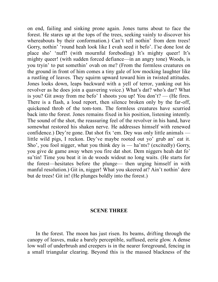on end, failing and sinking prone again. Jones turns about to face the forest. He stares up at the tops of the trees, seeking vainly to discover his whereabouts by their conformation.) Can't tell nothin' from dem trees! Gorry, nothin' 'round heah look like I evah seed it befo'. I'se done lost de place sho' 'nuff! (with mournful foreboding) It's mighty queer! It's mighty queer! (with sudden forced defiance—in an angry tone) Woods, is you tryin' to put somethin' ovah on me? (From the formless creatures on the ground in front of him comes a tiny gale of low mocking laughter like a rustling of leaves. They squirm upward toward him in twisted attitudes. Jones looks down, leaps backward with a yell of terror, yanking out his revolver as he does join a quavering voice.) What's dat? who's dar? What is you? Git away from me befo' I shoots you up! You don't? — (He fires. There is a flash, a loud report, then silence broken only by the far-off, quickened throb of the tom-tom. The formless creatures have scurried back into the forest. Jones remains fixed in his position, listening intently. The sound of the shot, the reassuring feel of the revolver in his hand, have somewhat restored his shaken nerve. He addresses himself with renewed confidence.) Dey're gone. Dat shot fix 'em. Dey was only little animals little wild pigs, I reckon. Dey've maybe rooted out yo' grub an' eat it. Sho', you fool nigger, what you think dey is  $-$  ha'nts? (excitedly) Gorry, you give de game away when you fire dat shot. Dem niggers heah dat fo' su'tin! Time you beat it in de woods widout no long waits. (He starts for the forest—hesitates before the plunge— then urging himself in with manful resolution.) Git in, nigger! What you skeered at? Ain't nothin' dere but de trees! Git in! (He plunges boldly into the forest.)

#### **SCENE THREE**

In the forest. The moon has just risen. Its beams, drifting through the canopy of leaves, make a barely perceptible, suffused, eerie glow. A dense low wall of underbrush and creepers is in the nearer foreground, fencing in a small triangular clearing. Beyond this is the massed blackness of the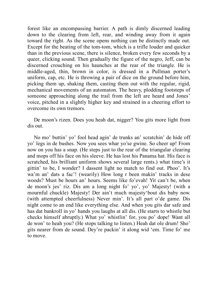forest like an encompassing barrier. A path is dimly discerned leading down to the clearing from left, rear, and winding away from it again toward the right. As the scene opens nothing can be distinctly made out. Except for the beating of the tom-tom, which is a trifle louder and quicker than in the previous scene, there is silence, broken every few seconds by a queer, clicking sound. Then gradually the figure of the negro, Jeff, can be discerned crouching on his haunches at the rear of the triangle. He is middle-aged, thin, brown in color, is dressed in a Pullman porter's uniform, cap, etc. He is throwing a pair of dice on the ground before him, picking them up, shaking them, casting them out with the regular, rigid, mechanical movements of an automaton. The heavy, plodding footsteps of someone approaching along the trail from the left are heard and Jones' voice, pitched in a slightly higher key and strained in a cheering effort to overcome its own tremors.

De moon's rizen. Does you heah dat, nigger? You gits more light from dis out.

No mo' buttin' yo' fool head agin' de trunks an' scratchin' de hide off yo' legs in de bushes. Now you sees whar yo'se gwine. So cheer up! From now on you has a snap. (He steps just to the rear of the triangular clearing and mops off his face on his sleeve. He has lost his Panama hat. His face is scratched, his brilliant uniform shows several large rents.) what time's it gittin' to be, I wonder? I dassent light no match to find out. Phoo'. It's wa'm an' dats a fac'! (wearily) How long r been makin' tracks in dese woods? Must be hours an' hours. Seems like fo'evah! Yit can't be, when de moon's jes' riz. Dis am a long night fo' yo', yo' Majesty! (with a mournful chuckle) Majesty! Der ain't much majesty'bout dis baby now. (with attempted cheerfulness) Never min'. It's all part o'de game. Dis night come to an end like everything else. And when you gits dar safe and has dat bankroll in yo' hands you laughs at all dis. (He starts to whistle but checks himself abruptly.) What yo' whistlin' for, you po' dope! Want all de won' to heah you? (He stops talking to listen.) Heah dat ole drum! Sho' gits nearer from de sound. Dey're packin' it along wid 'em. Time fo' me to move.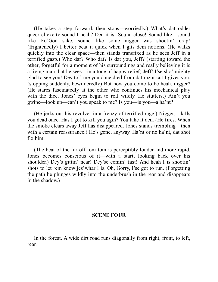(He takes a step forward, then stops—worriedly.) What's dat odder queer clicketty sound I heah? Den it is! Sound close! Sound like—sound like—Fo'God sake, sound like some nigger was shootin' crap! (frightenedly) I better beat it quick when I gits dem notions. (He walks quickly into the clear space—then stands transfixed as he sees Jeff in a terrified gasp.) Who dar? Who dat? Is dat you, Jeff? (starting toward the other, forgetful for a moment of his surroundings and really believing it is a living man that he sees—in a tone of happy relief) Jeff! I'se sho' mighty glad to see you! Dey tol' me you done died from dat razor cut I gives you. (stopping suddenly, bewilderedly) But how you come to be heah, nigger? (He stares fascinatedly at the other who continues his mechanical play with the dice. Jones' eyes begin to roll wildly. He stutters.) Ain't you gwine—look up—can't you speak to me? Is you—is you—a ha'nt?

(He jerks out his revolver in a frenzy of terrified rage.) Nigger, I kills you dead once. Has I got to kill you agin? You take it den. (He fires. When the smoke clears away Jeff has disappeared. Jones stands trembling—then with a certain reassurance.) He's gone, anyway. Ha'nt or no ha'nt, dat shot fix him.

(The beat of the far-off tom-tom is perceptibly louder and more rapid. Jones becomes conscious of it—with a start, looking back over his shoulder.) Dey's gittin' near! Dey'se comin' fast! And heah I is shootin' shots to let 'em know jes'whar I is. Oh, Gorry, I'se got to run. (Forgetting the path he plunges wildly into the underbrush in the rear and disappears in the shadow.)

#### **SCENE FOUR**

In the forest. A wide dirt road runs diagonally from right, front, to left, rear.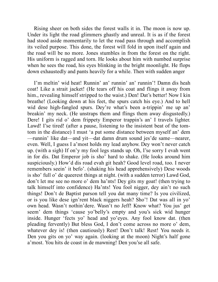Rising sheer on both sides the forest walls it in. The moon is now up. Under its light the road glimmers ghastly and unreal. It is as if the forest had stood aside momentarily to let the road pass through and accomplish its veiled purpose. This done, the forest will fold in upon itself again and the road will be no more. Jones stumbles in from the forest on the right. His uniform is ragged and torn. He looks about him with numbed surprise when he sees the road, his eyes blinking in the bright moonlight. He flops down exhaustedly and pants heavily for a while. Then with sudden anger

I'm meltin' wid heat! Runnin' an' runnin' an' runnin'! Damn dis heah coat! Like a strait jacket! (He tears off his coat and flings it away from him., revealing himself stripped to the waist.) Den! Dat's better! Now I kin breathe! (Looking down at his feet, the spurs catch his eye.) And to hell wid dese high-fangled spurs. Dey're what's been a-trippin' me up an' breakin' my neck. (He unstraps them and flings them away disgustedly.) Dere! I gits rid o' dem frippety Emperor trappin's an' I travels lighter. Lawd! I'se tired! (after a pause, listening to the insistent beat of the tomtom in the distance) I must 'a put some distance between myself an' dem —runnin' like dat—and yit—dat damn drum sound jes'de same—nearer, even. Well, I guess I a'most holds my lead anyhow. Dey won't never catch up. (with a sigh) If on'y my fool legs stands up. Oh, I'se sorry I evah went in for dis. Dat Emperor job is sho' hard to shake. (He looks around him suspiciously.) How'd dis road evah git heah? Good level road, too. I never remembers seein' it befo'. (shaking his head apprehensively) Dese woods is sho' full o' de queerest things at night. (with a sudden terror) Lawd God, don't let me see no more o' dem ha'nts! Dey gits my goat! (then trying to talk himself into confidence) Ha'nts! You fool nigger, dey ain't no such things! Don't de Baptist parson tell you dat many time? Is you civilized, or is you like dese ign'rent black niggers heah? Sho'! Dat was all in yo' own head. Wasn't nothin'dere. Wasn't no Jeff! Know what? You jus' get seem' dem things 'cause yo'belly's empty and you's sick wid hunger inside. Hunger 'fects yo' head and yo'eyes. Any fool know dat. (then pleading fervently) But bless God, I don't come across no more o' dem, whatever dey is! (then cautiously) Rest! Don't talk! Rest! You needs it. Den you gits on yo' way again. (looking at the moon) Night's half gone a'most. You hits de coast in de mawning! Den you'se all safe.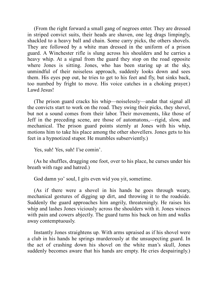(From the right forward a small gang of negroes enter. They are dressed in striped convict suits, their heads are shaven, one leg drags limpingly, shackled to a heavy ball and chain. Some carry picks, the others shovels. They are followed by a white man dressed in the uniform of a prison guard. A Winchester rifle is slung across his shoulders and he carries a heavy whip. At a signal from the guard they stop on the road opposite where Jones is sitting. Jones, who has been staring up at the sky, unmindful of their noiseless approach, suddenly looks down and sees them. His eyes pop out, he tries to get to his feet and fly, but sinks back, too numbed by fright to move. His voice catches in a choking prayer.) Lawd Jesus!

(The prison guard cracks his whip—noiselessly—andat that signal all the convicts start to work on the road. They swing their picks, they shovel, but not a sound comes from their labor. Their movements, like those of Jeff in the preceding scene, are those of automatons,—rigid, slow, and mechanical. The prison guard points sternly at Jones with his whip, motions him to take his place among the other shovellers. Jones gets to his feet in a hypnotized stupor. He mumbles subserviently.)

Yes, suh! Yes, suh! I'se comin'.

(As he shuffles, dragging one foot, over to his place, he curses under his breath with rage and hatred.)

God damn yo' soul, I gits even wid you yit, sometime.

(As if there were a shovel in his hands he goes through weary, mechanical gestures of digging up dirt, and throwing it to the roadside. Suddenly the guard approaches him angrily, threateningly. He raises his whip and lashes Jones viciously across the shoulders with it. Jones winces with pain and cowers abjectly. The guard turns his back on him and walks away contemptuously.

Instantly Jones straightens up. With arms upraised as if his shovel were a club in his hands he springs murderously at the unsuspecting guard. In the act of crashing down his shovel on the white man's skull, Jones suddenly becomes aware that his hands are empty. He cries despairingly.)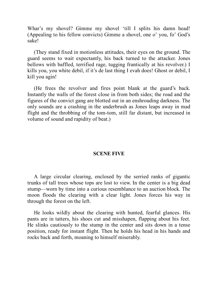Whar's my shovel? Gimme my shovel 'till I splits his damn head! (Appealing to his fellow convicts) Gimme a shovel, one o' you, fo' God's sake!

(They stand fixed in motionless attitudes, their eyes on the ground. The guard seems to wait expectantly, his back turned to the attacker. Jones bellows with baffled, terrified rage, tugging frantically at his revolver.) I kills you, you white debil, if it's de last thing I evah does! Ghost or debil, I kill you agin!

(He frees the revolver and fires point blank at the guard's back. Instantly the walls of the forest close in from both sides; the road and the figures of the convict gang are blotted out in an enshrouding darkness. The only sounds are a crashing in the underbrush as Jones leaps away in mad flight and the throbbing of the tom-tom, still far distant, but increased in volume of sound and rapidity of beat.)

#### **SCENE FIVE**

A large circular clearing, enclosed by the serried ranks of gigantic trunks of tall trees whose tops are lost to view. In the center is a big dead stump—worn by time into a curious resemblance to an auction block. The moon floods the clearing with a clear light. Jones forces his way in through the forest on the left.

He looks wildly about the clearing with hunted, fearful glances. His pants are in tatters, his shoes cut and misshapen, flapping about his feet. He slinks cautiously to the stump in the center and sits down in a tense position, ready for instant flight. Then he holds his head in his hands and rocks back and forth, moaning to himself miserably.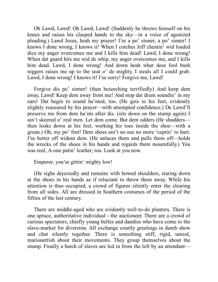Oh Lawd, Lawd! Oh Lawd, Lawd! (Suddenly he throws himself on his knees and raises his clasped hands to the sky—in a voice of agonized pleading.) Lawd Jesus, heah my prayer! I'se a po' sinner, a po' sinner! I knows I done wrong, I knows it! When I cotches Jeff cheatin' wid loaded dice my anger overcomes me and I kills him dead! Lawd, I done wrong! When dat guard hits me wid de whip, my anger overcomes me, and I kills him dead. Lawd, I done wrong! And down heah whar dese fool bush niggers raises me up to the seat o' de mighty, I steals all I could grab. Lawd, I done wrong! I knows it! I'se sorry! Forgive me, Lawd!

Forgive dis po' sinner! (then beseeching terrifiedly) And keep dem away, Lawd! Keep dem away from me! And stop dat drum soundin' in my ears! Dat begin to sound ha'nted, too. (He gets to his feet, evidently slightly reassured by his prayer—with attempted confidence.) De Lawd'll preserve me from dem ha'nts after dis. (sits down on the stump again) I ain't skeered o' real men. Let dem come. But dem odders (He shudders then looks down at his feet, working his toes inside the shoe—with a groan.) Oh, my po' feet! Dem shoes ain't no use no more 'ceptin' to hurt. I'se better off widout dem. (He unlaces them and pulls them off—holds the wrecks of the shoes in his hands and regards them mournfully.) You was real, A-one patin' leather, too. Look at you now.

Emperor, you'se gittin' mighty low!

(He sighs dejectedly and remains with bowed shoulders, staring down at the shoes in his hands as if reluctant to throw them away. While his attention is thus occupied, a crowd of figures silently enter the clearing from all sides. All are dressed in Southern costumes of the period of the fifties of the last century.

There are middle-aged who are evidently well-to-do planters. There is one spruce, authoritative individual—the auctioneer. There are a crowd of curious spectators, chiefly young belles and dandies who have come to the slave-market for diversion. All exchange courtly greetings in dumb show and chat silently together. There is something stiff, rigid, unreal, marionettish about their movements. They group themselves about the stump. Finally a batch of slaves are led in from the left by an attendant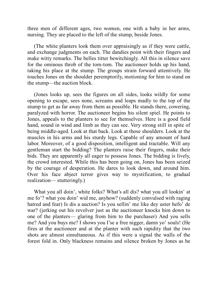three men of different ages, two women, one with a baby in her arms, nursing. They are placed to the left of the stump, beside Jones.

(The white planters look them over appraisingly as if they were cattle, and exchange judgments on each. The dandies point with their fingers and make witty remarks. The belles titter bewitchingly. All this in silence save for the ominous throb of the tom-tom. The auctioneer holds up his hand, taking his place at the stump. The groups strain forward attentively. He touches Jones on the shoulder peremptorily, motioning for him to stand on the stump—the auction block.

(Jones looks up, sees the figures on all sides, looks wildly for some opening to escape, sees none, screams and leaps madly to the top of the stump to get as far away from them as possible. He stands there, cowering, paralyzed with horror. The auctioneer begins his silent spiel. He points to Jones, appeals to the planters to see for themselves. Here is a good field hand, sound in wind and limb as they can see. Very strong still in spite of being middle-aged. Look at that back. Look at those shoulders. Look at the muscles in his arms and his sturdy legs. Capable of any amount of hard labor. Moreover, of a good disposition, intelligent and tractable. Will any gentleman start the bidding? The planters raise their fingers, make their bids. They are apparently all eager to possess Jones. The bidding is lively, the crowd interested. While this has been going on, Jones has been seized by the courage of desperation. He dares to look down, and around him. Over his face abject terror gives way to mystification, to gradual realization— stutteringly.)

What you all doin', white folks? What's all dis? what you all lookin' at me fo'? what you doin' wid me, anyhow? (suddenly convulsed with raging hatred and fear) Is dis a auction? Is you sellin' me like dey uster hefo' de war? (jerking out his revolver just as the auctioneer knocks him down to one of the planters— glaring from him to the purchaser) And you sells me? And you buys me? I shows you I'se a free nigger, damn yo' souls! (He fires at the auctioneer and at the planter with such rapidity that the two shots are almost simultaneous. As if this were a signal the walls of the forest fold in. Only blackness remains and silence broken by Jones as he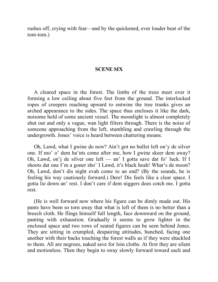rushes off, crying with fear—and by the quickened, ever louder beat of the tom-tom.)

#### **SCENE SIX**

A cleared space in the forest. The limbs of the trees meet over it forming a low ceiling about five feet from the ground. The interlocked ropes of creepers reaching upward to entwine the tree trunks gives an arched appearance to the sides. The space thus encloses it like the dark, noisome hold of some ancient vessel. The moonlight is almost completely shut out and only a vague, wan light filters through. There is the noise of someone approaching from the left, stumbling and crawling through the undergrowth. Jones' voice is heard between chattering moans.

Oh, Lawd, what I gwine do now? Ain't got no bullet left on'y de silver one. If mo' o' dem ha'nts come after me, how I gwine skeer dem away? Oh, Lawd, on'j de silver one left — an' I gotta save dat fo' luck. If I shoots dat one I'm a goner sho' I Lawd, it's black heah! Whar's de moon? Oh, Lawd, don't dis night evah come to an end? (By the sounds, he is feeling his way cautiously forward.) Dere! Dis feels like a clear space. I gotta lie down an' rest. I don't care if dem niggers does cotch me. I gotta rest.

(He is well forward now where his figure can be dimly made out. His pants have been so torn away that what is left of them is no better than a breech cloth. He flings himself full length, face downward on the ground, panting with exhaustion. Gradually it seems to grow lighter in the enclosed space and two rows of seated figures can be seen behind Jones. They are sitting in crumpled, despairing attitudes, hunched, facing one another with their backs touching the forest walls as if they were shackled to them. All are negroes, naked save for loin cloths. At first they are silent and motionless. Then they begin to sway slowly forward toward each and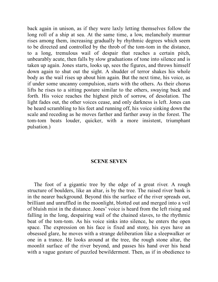back again in unison, as if they were laxly letting themselves follow the long roll of a ship at sea. At the same time, a low, melancholy murmur rises among them, increasing gradually by rhythmic degrees which seem to be directed and controlled by the throb of the tom-tom in the distance, to a long, tremulous wail of despair that reaches a certain pitch, unbearably acute, then falls by slow graduations of tone into silence and is taken up again. Jones starts, looks up, sees the figures, and throws himself down again to shut out the sight. A shudder of terror shakes his whole body as the wail rises up about him again. But the next time, his voice, as if under some uncanny compulsion, starts with the others. As their chorus lifts he rises to a sitting posture similar to the others, swaying back and forth. His voice reaches the highest pitch of sorrow, of desolation. The light fades out, the other voices cease, and only darkness is left. Jones can be heard scrambling to his feet and running off, his voice sinking down the scale and receding as he moves farther and farther away in the forest. The tom-tom beats louder, quicker, with a more insistent, triumphant pulsation.)

#### **SCENE SEVEN**

The foot of a gigantic tree by the edge of a great river. A rough structure of boulders, like an altar, is by the tree. The raised river bank is in the nearer background. Beyond this the surface of the river spreads out, brilliant and unruffled in the moonlight, blotted out and merged into a veil of bluish mist in the distance. Jones' voice is heard from the left rising and falling in the long, despairing wail of the chained slaves, to the rhythmic beat of the tom-tom. As his voice sinks into silence, he enters the open space. The expression on his face is fixed and stony, his eyes have an obsessed glare, he moves with a strange deliberation like a sleepwalker or one in a trance. He looks around at the tree, the rough stone altar, the moonlit surface of the river beyond, and passes his hand over his head with a vague gesture of puzzled bewilderment. Then, as if in obedience to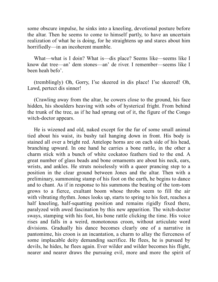some obscure impulse, he sinks into a kneeling, devotional posture before the altar. Then he seems to come to himself partly, to have an uncertain realization of what he is doing, for he straightens up and stares about him horrifiedly—in an incoherent mumble.

What—what is I doin? What is—dis place? Seems like—seems like I know dat tree—an' dem stones—an' de river. I remember—seems like I been heah befo'.

(tremblingly) Oh, Gorry, I'se skeered in dis place! I'se skeered! Oh, Lawd, pertect dis sinner!

(Crawling away from the altar, he cowers close to the ground, his face hidden, his shoulders heaving with sobs of hysterical fright. From behind the trunk of the tree, as if he had sprung out of it, the figure of the Congo witch-doctor appears.

He is wizened and old, naked except for the fur of some small animal tied about his waist, its bushy tail hanging down in front. His body is stained all over a bright red. Antelope horns are on each side of his head, branching upward. In one hand he carries a bone rattle, in the other a charm stick with a bunch of white cockatoo feathers tied to the end. A great number of glass beads and bone ornaments are about his neck, ears, wrists, and ankles. He struts noiselessly with a queer prancing step to a position in the clear ground between Jones and the altar. Then with a preliminary, summoning stamp of his foot on the earth, he begins to dance and to chant. As if in response to his summons the beating of the tom-tom grows to a fierce, exultant boom whose throbs seem to fill the air with vibrating rhythm. Jones looks up, starts to spring to his feet, reaches a half kneeling, half-squatting position and remains rigidly fixed there, paralyzed with awed fascination by this new apparition. The witch-doctor sways, stamping with his foot, his bone rattle clicking the time. His voice rises and falls in a weird, monotonous croon, without articulate word divisions. Gradually his dance becomes clearly one of a narrative in pantomime, his croon is an incantation, a charm to allay the fierceness of some implacable deity demanding sacrifice. He flees, he is pursued by devils, he hides, he flees again. Ever wilder and wilder becomes his flight, nearer and nearer draws the pursuing evil, more and more the spirit of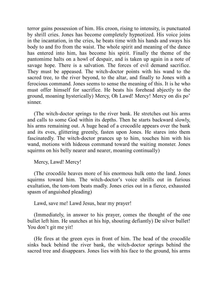terror gains possession of him. His croon, rising to intensity, is punctuated by shrill cries. Jones has become completely hypnotized. His voice joins in the incantation, in the cries, he beats time with his hands and sways his body to and fro from the waist. The whole spirit and meaning of the dance has entered into him, has become his spirit. Finally the theme of the pantomime halts on a howl of despair, and is taken up again in a note of savage hope. There is a salvation. The forces of evil demand sacrifice. They must be appeased. The witch-doctor points with his wand to the sacred tree, to the river beyond, to the altar, and finally to Jones with a ferocious command. Jones seems to sense the meaning of this. It is he who must offer himself for sacrifice. He beats his forehead abjectly to the ground, moaning hysterically) Mercy, Oh Lawd! Mercy! Mercy on dis po' sinner.

(The witch-doctor springs to the river bank. He stretches out his arms and calls to some God within its depths. Then he starts backward slowly, his arms remaining out. A huge head of a crocodile appears over the bank and its eves, glittering greenly, fasten upon Jones. He stares into them fascinatedly. The witch-doctor prances up to him, touches him with his wand, motions with hideous command toward the waiting monster. Jones squirms on his belly nearer and nearer, moaning continually)

Mercy, Lawd! Mercy!

(The crocodile heaves more of his enormous hulk onto the land. Jones squirms toward him. The witch-doctor's voice shrills out in furious exultation, the tom-tom beats madly. Jones cries out in a fierce, exhausted spasm of anguished pleading)

Lawd, save me! Lawd Jesus, hear my prayer!

(Immediately, in answer to his prayer, comes the thought of the one bullet left him. He snatches at his hip, shouting defiantly) De silver bullet! You don't git me yit!

(He fires at the green eyes in front of him. The head of the crocodile sinks back behind the river bank, the witch-doctor springs behind the sacred tree and disappears. Jones lies with his face to the ground, his arms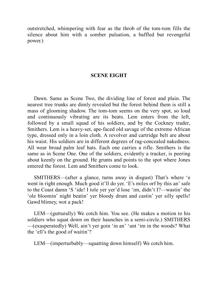outstretched, whimpering with fear as the throb of the tom-tom fills the silence about him with a somber pulsation, a baffled but revengeful power.)

#### **SCENE EIGHT**

Dawn. Same as Scene Two, the dividing line of forest and plain. The nearest tree trunks are dimly revealed but the forest behind them is still a mass of glooming shadow. The tom-tom seems on the very spot, so loud and continuously vibrating are its beats. Lem enters from the left, followed by a small squad of his soldiers, and by the Cockney trader, Smithers. Lem is a heavy-set, ape-faced old savage of the extreme African type, dressed only in a loin cloth. A revolver and cartridge belt are about his waist. His soldiers are in different degrees of rag-concealed nakedness. All wear broad palm leaf hats. Each one carries a rifle. Smithers is the same as in Scene One. One of the soldiers, evidently a tracker, is peering about keenly on the ground. He grunts and points to the spot where Jones entered the forest. Lem and Smithers come to look.

SMITHERS—(after a glance, turns away in disgust) That's where 'e went in right enough. Much good it'll do yer. 'E's miles orf by this an' safe to the Coast damn 'S 'ide! I tole yer yer'd lose 'im, didn't I?—wastin' the 'ole bloomin' night beatin' yer bloody drum and castin' yer silly spells! Gawd blimey, wot a pack!

LEM—(gutturally) We cotch him. You see. (He makes a motion to his soldiers who squat down on their haunches in a semi-circle.) SMITHERS —(exasperatedly) Well, ain't yer goin 'in an' 'unt 'im in the woods? What the 'ell's the good of waitin'?

LEM—(imperturbably—squatting down himself) We cotch him.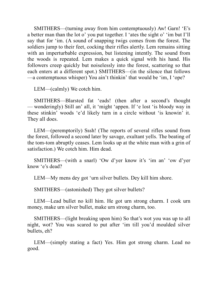SMITHERS—(turning away from him contemptuously) Aw! Garn! 'E's a better man than the lot o' you put together. I 'ates the sight o' 'im but I'll say that for 'im. (A sound of snapping twigs comes from the forest. The soldiers jump to their feet, cocking their rifles alertly. Lem remains sitting with an imperturbable expression, but listening intently. The sound from the woods is repeated. Lem makes a quick signal with his hand. His followers creep quickly but noiselessly into the forest, scattering so that each enters at a different spot.) SMITHERS—(in the silence that follows —a contemptuous whisper) You ain't thinkin' that would be 'im, I 'ope?

LEM—(calmly) We cotch him.

SMITHERS—Blarsted fat 'eads! (then after a second's thought — wonderingly) Still an' all, it 'might 'appen. If 'e lost 'is bloody way in these stinkin' woods 'e'd likely turn in a circle without 'is knowin' it. They all does.

LEM—(peremptorily) Sssh! (The reports of several rifles sound from the forest, followed a second later by savage, exultant yells. The beating of the tom-tom abruptly ceases. Lem looks up at the white man with a grin of satisfaction.) We cotch him. Him dead.

SMITHERS—(with a snarl) 'Ow d'yer know it's 'im an' 'ow d'yer know 'e's dead?

LEM—My mens dey got 'urn silver bullets. Dey kill him shore.

SMITHERS—(astonished) They got silver bullets?

LEM—Lead bullet no kill him. He got urn strong charm. I cook urn money, make urn silver bullet, make urn strong charm, too.

SMITHERS—(light breaking upon him) So that's wot you was up to all night, wot? You was scared to put after 'im till you'd moulded silver bullets, eh?

LEM—(simply stating a fact) Yes. Him got strong charm. Lead no good.